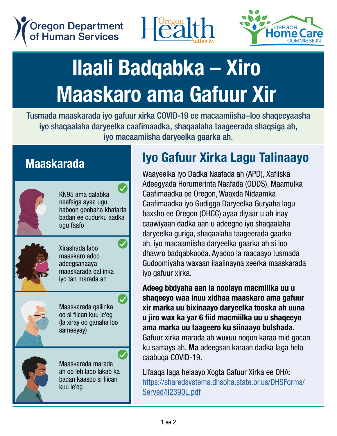**Oregon Department** of Human Services





# **Stave – Mask or Standard – Mask or Stay Safe – Xiro – Wear and State – Wear and State and Mass (State )** Maaskaro ama Gafuur Xir **State 19 November 1138 Higgs Harak State 19 November 1138 Harak State 12 November 10 November 10 November 10 No** n<br>Caro ama Gafuur

Tusmada maaskarada iyo gafuur xirka COVID-19 ee macaamiisha-loo shaqeeyaasha<br>iyo shaqaalaha darxaalka qaafimaadka ahaaaalaha taagaarada ahaaajaa ah iyo shaqaalaha daryeelka caafimaadka, shaqaalaha taageerada shaqsiga ah, iyo macaamiisha daryeelka gaarka ah.

### **Moookerede Maaskarada**



KN95 or respirator  $\overline{\mathcal{A}}$ k<br>KNO5 oma qalahka KN95 ama qalabka<br>Bestsiaa ayaa ugu neefsiga ayaa ugu neetsiga ayaa ugu<br>haboon goobaha khatarta<br>badan ee cudurku aadka transmission setting manual.<br>badan ee cudurku aadka ugu faafo

KN95 or respirator

KN95 or respirator



Double masking using a surgical maaskaro adoo using a surgical maaskaro adoo<br>adeegsanaaya maaskarada qanii<br>iyo tan marada ah Xirashada labo Double masking Double masking using a surgical aueegsanaaya<br>maaskarada qaliinka

Double masking



Maaskarada qaliinka oo si fiican kuu le'eg<br>(la xiray oo ganaha loo<br>sameeyay) sameeyay) maaskarada qallinka<br>oo si fiican kuu le'eg

(tied and turked)<br>(tied and turked)

good fit<br>good fit good fit good fit

A cloth mask A cloth mask Maaskarada marada waaskarada marada<br>ah oo leh labo lakab ka layan kaasoo si ilican<br>lahan a an oo len labo lakab ka<br>badan kaasoo si fiican kuu le'eg

#### Iyo Gafuur Xirka Lagu Talinaayo Ivo Cofuur Virko Logu Tolingov  $\overline{\phantom{a}}$

Waayeelka iyo Dadka Naafada ah (APD), Xafiiska Adeegyada Horumerinta Naafada (ODDS), Maamulka Caafimaadka ee Oregon, Waaxda Nidaamka Caafimaadka iyo Gudigga Daryeelka Guryaha lagu Caafimaadka iyo Gudigga Daryeelka Guryaha lagu baxsho ee Oregon (OHCC) ayaa diyaar u ah inay caawiyaan dadka aan u adeegno iyo shaqaalaha daryeelka guriga, shaqaalaha taageerada gaarka ali yoona gariga, onaqaana taagoorada gaarka<br>ah, iyo macaamiisha daryeelka gaarka ah si loo dhawro badqabkooda. Ayadoo la raacaayo tusmada covering policy. iyo gafuur xirka. covering policy. covering policy. Gudoomiyaha waxaan ilaalinayna xeerka maaskarada paxsific ee Oregon (OHCC) ayaa uiyaar u ah inay<br>caawiyaan dadka aan u adeegno iyo shaqaalaha waayoolka iyu Dauna waalaya ah (APD), Adilisha<br>Adooqyada Horumorinta Naafada (ODDS), Maamulk Auttyyaua nurumennia Naalaua (ODDJ), Maamunka<br>Caafimaadka ee Oregon Waayda Nidaamka baanmaadka oo oregon, waaxda muaannka<br>Caafimaadka iyo Gudigga Daryeelka Guryaha lagu Waayeelka iyo Dauka Naalada ah (APD), Xaliiska<br>Adeesyade Uswynesiinte Neefede (ODDC), Meersylli A provider which will be with the contract with the second with the second with the second with the second with the second with the second with the second with the second with the second with the second with the second wit

Adeeg bixiyaha aan la noolayn macmiilka uu u<br>charasya waa inuu vidhaa maaalara ama rafuu rassy sixiyana aan ia noolayn masimilika aa a<br>shaqeeyo waa inuu xidhaa maaskaro ama gafuur xir marka uu bixinaayo daryeelka tooska ah uuna u jiro wax ka yar 6 fiid macmiilka uu u shaqeeyo ama marka uu taageero ku siinaayo bulshada. Gafuur xirka marada ah wuxuu noqon karaa mid gacan can be community. ku samays ah. **Ma** adeegsan karaan dadka laga helo <br>caabuga COVID 10 caabuqa COVID-19.  $\alpha$ aabaya OOVID-19. shay<del>c</del>cyo waa muu xiunaa maaskaro ama yaruu<br>ur marka uu biyinaaya daryaalka taaaka ah uun xir marka uu bixinaayo uaryeenka tooska an uuna<br>puliting wax ka yar 6 fiid macmiilka uu u shaqeeyo u jiro wax ka yar o mu macmmka uu u snaqeeyo<br>ama marka uu taaneero ku siinaavo hulshada ema marka aa taagooro ka omtaayo balonaad.<br>Gafuur xirka marada ah wuxuu noqon karaa mid qa compute that all control the cover the people home and the gas ku samays ah. **Ma** adeegsan karaan dadka laga hel homemade. They are not for the capture of the capture of the control of the control of the control of the control of the control of the control of the control of the control of the control of the control of the control of

Lifaaqa laga helaayo Xogta Gafuur Xirka ee OHA: Lindada raga holdayo Aegaa dahaan Alika oo Ohin.<br>https://[sharedsystems.dhsoha.state.or.us/DHSForms/](https://sharedsystems.dhsoha.state.or.us/DHSForms/Served/li2390L.pdf) Served/li2390L.pdf Served<sub>e</sub>

Served<sup>1</sup>le2390L.pdf